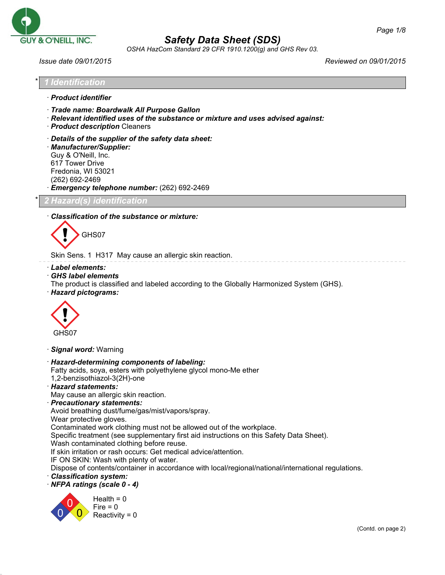

*OSHA HazCom Standard 29 CFR 1910.1200(g) and GHS Rev 03.*

*Issue date 09/01/2015 Reviewed on 09/01/2015*

*Page 1/8*

| $\star$ 1 | ↑ 1 Identification 』 |
|-----------|----------------------|
|           | · Product identifier |

- · *Trade name: Boardwalk All Purpose Gallon*
- · *Relevant identified uses of the substance or mixture and uses advised against:*
- · *Product description* Cleaners
- · *Details of the supplier of the safety data sheet:*

· *Manufacturer/Supplier:* Guy & O'Neill, Inc. 617 Tower Drive Fredonia, WI 53021 (262) 692-2469

· *Emergency telephone number:* (262) 692-2469

\* *2 Hazard(s) identification*

#### · *Classification of the substance or mixture:*



Skin Sens. 1 H317 May cause an allergic skin reaction.

- · *Label elements:*
- · *GHS label elements*
- The product is classified and labeled according to the Globally Harmonized System (GHS).
- · *Hazard pictograms:*



· *Signal word:* Warning

- · *Hazard-determining components of labeling:* Fatty acids, soya, esters with polyethylene glycol mono-Me ether
- 1,2-benzisothiazol-3(2H)-one
- · *Hazard statements:*
- May cause an allergic skin reaction.
- · *Precautionary statements:*

Avoid breathing dust/fume/gas/mist/vapors/spray.

Wear protective gloves.

Contaminated work clothing must not be allowed out of the workplace.

Specific treatment (see supplementary first aid instructions on this Safety Data Sheet).

Wash contaminated clothing before reuse.

If skin irritation or rash occurs: Get medical advice/attention.

IF ON SKIN: Wash with plenty of water.

Dispose of contents/container in accordance with local/regional/national/international regulations.

- · *Classification system:*
- · *NFPA ratings (scale 0 4)*

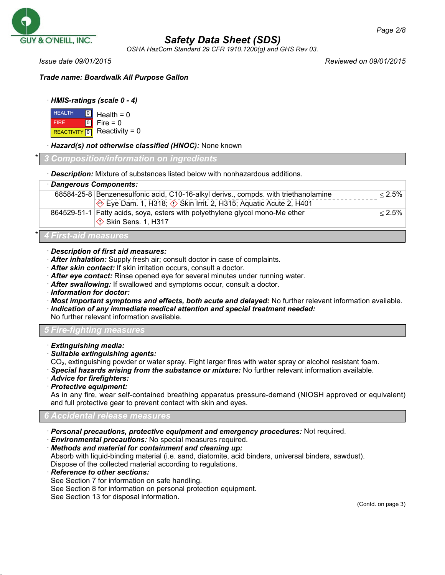

*OSHA HazCom Standard 29 CFR 1910.1200(g) and GHS Rev 03.*

*Issue date 09/01/2015 Reviewed on 09/01/2015*

*Trade name: Boardwalk All Purpose Gallon*

## · *HMIS-ratings (scale 0 - 4)*

| <b>HEALTH</b> | $\Box$ Health = 0                               |
|---------------|-------------------------------------------------|
| <b>FIRE</b>   | $\begin{bmatrix} 0 \\ 1 \end{bmatrix}$ Fire = 0 |
|               | REACTIVITY 0 Reactivity = 0                     |

## · *Hazard(s) not otherwise classified (HNOC):* None known

#### \* *3 Composition/information on ingredients*

· *Description:* Mixture of substances listed below with nonhazardous additions.

| · Dangerous Components:                                                             |           |
|-------------------------------------------------------------------------------------|-----------|
| 68584-25-8 Benzenesulfonic acid, C10-16-alkyl derivs., compds. with triethanolamine | $< 2.5\%$ |
| Eye Dam. 1, H318; $\Diamond$ Skin Irrit. 2, H315; Aquatic Acute 2, H401             |           |
| 864529-51-1 Fatty acids, soya, esters with polyethylene glycol mono-Me ether        | $< 2.5\%$ |
| Skin Sens. 1, H317                                                                  |           |
|                                                                                     |           |

# \* *4 First-aid measures*

## · *Description of first aid measures:*

- · *After inhalation:* Supply fresh air; consult doctor in case of complaints.
- · *After skin contact:* If skin irritation occurs, consult a doctor.
- · *After eye contact:* Rinse opened eye for several minutes under running water.
- · *After swallowing:* If swallowed and symptoms occur, consult a doctor.
- · *Information for doctor:*
- · *Most important symptoms and effects, both acute and delayed:* No further relevant information available.
- · *Indication of any immediate medical attention and special treatment needed:*

No further relevant information available.

## *5 Fire-fighting measures*

- · *Extinguishing media:*
- · *Suitable extinguishing agents:*

CO₂, extinguishing powder or water spray. Fight larger fires with water spray or alcohol resistant foam.

- · *Special hazards arising from the substance or mixture:* No further relevant information available.
- · *Advice for firefighters:*
- · *Protective equipment:*

As in any fire, wear self-contained breathing apparatus pressure-demand (NIOSH approved or equivalent) and full protective gear to prevent contact with skin and eyes.

## *6 Accidental release measures*

- · *Personal precautions, protective equipment and emergency procedures:* Not required.
- · *Environmental precautions:* No special measures required.
- · *Methods and material for containment and cleaning up:*

Absorb with liquid-binding material (i.e. sand, diatomite, acid binders, universal binders, sawdust). Dispose of the collected material according to regulations.

- · *Reference to other sections:*
- See Section 7 for information on safe handling.
- See Section 8 for information on personal protection equipment.

See Section 13 for disposal information.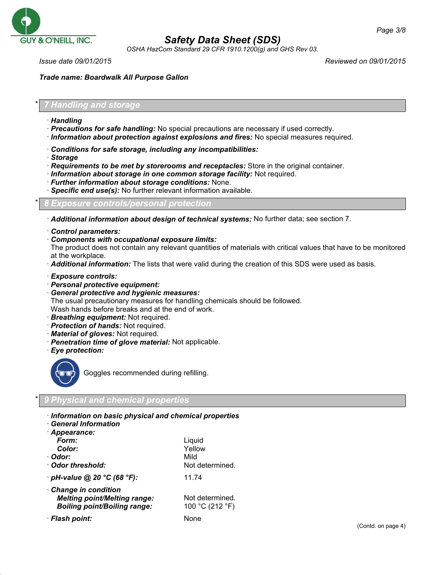

*OSHA HazCom Standard 29 CFR 1910.1200(g) and GHS Rev 03.*

*Page 3/8*

*Trade name: Boardwalk All Purpose Gallon*

#### \* *7 Handling and storage*

- · *Handling*
- · *Precautions for safe handling:* No special precautions are necessary if used correctly.
- · *Information about protection against explosions and fires:* No special measures required.
- · *Conditions for safe storage, including any incompatibilities:*
- · *Storage*
- · *Requirements to be met by storerooms and receptacles:* Store in the original container.
- · *Information about storage in one common storage facility:* Not required.
- · *Further information about storage conditions:* None.
- · *Specific end use(s):* No further relevant information available.

\* *8 Exposure controls/personal protection*

· *Additional information about design of technical systems:* No further data; see section 7.

- · *Control parameters:*
- · *Components with occupational exposure limits:*

The product does not contain any relevant quantities of materials with critical values that have to be monitored at the workplace.

- · *Additional information:* The lists that were valid during the creation of this SDS were used as basis.
- · *Exposure controls:*
- · *Personal protective equipment:*
- · *General protective and hygienic measures:*

The usual precautionary measures for handling chemicals should be followed.

Wash hands before breaks and at the end of work.

- · *Breathing equipment:* Not required.
- · *Protection of hands:* Not required.
- · *Material of gloves:* Not required.
- · *Penetration time of glove material:* Not applicable.
- · *Eye protection:*



Goggles recommended during refilling.

#### \* *9 Physical and chemical properties*

- · *Information on basic physical and chemical properties*
- · *General Information*

| · Appearance:                                                                                     |                                    |
|---------------------------------------------------------------------------------------------------|------------------------------------|
| Form:                                                                                             | Liquid                             |
| Color:                                                                                            | Yellow                             |
| · Odor:                                                                                           | Mild                               |
| Odor threshold:                                                                                   | Not determined.                    |
| $\cdot$ pH-value @ 20 °C (68 °F):                                                                 | 11.74                              |
| Change in condition<br><b>Melting point/Melting range:</b><br><b>Boiling point/Boiling range:</b> | Not determined.<br>100 °C (212 °F) |
| · Flash point:                                                                                    | None                               |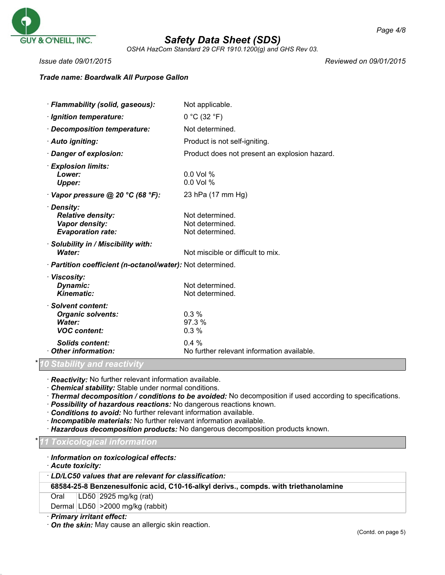

*OSHA HazCom Standard 29 CFR 1910.1200(g) and GHS Rev 03.*

*Issue date 09/01/2015 Reviewed on 09/01/2015*

## *Trade name: Boardwalk All Purpose Gallon*

| · Flammability (solid, gaseous):                                                     | Not applicable.                                       |
|--------------------------------------------------------------------------------------|-------------------------------------------------------|
| · Ignition temperature:                                                              | 0 °C (32 °F)                                          |
| · Decomposition temperature:                                                         | Not determined.                                       |
| · Auto igniting:                                                                     | Product is not self-igniting.                         |
| · Danger of explosion:                                                               | Product does not present an explosion hazard.         |
| · Explosion limits:<br>Lower:<br><b>Upper:</b>                                       | $0.0$ Vol %<br>0.0 Vol %                              |
| $\cdot$ Vapor pressure @ 20 °C (68 °F):                                              | 23 hPa (17 mm Hg)                                     |
| · Density:<br><b>Relative density:</b><br>Vapor density:<br><b>Evaporation rate:</b> | Not determined.<br>Not determined.<br>Not determined. |
| · Solubility in / Miscibility with:<br>Water:                                        | Not miscible or difficult to mix.                     |
| · Partition coefficient (n-octanol/water): Not determined.                           |                                                       |
| · Viscosity:<br>Dynamic:<br>Kinematic:                                               | Not determined.<br>Not determined.                    |
| · Solvent content:<br><b>Organic solvents:</b><br>Water:<br><b>VOC content:</b>      | $0.3\%$<br>97.3 %<br>0.3%                             |
| <b>Solids content:</b><br>Other information:                                         | $0.4\%$<br>No further relevant information available. |

## \* *10 Stability and reactivity*

· *Reactivity:* No further relevant information available.

· *Chemical stability:* Stable under normal conditions.

· *Thermal decomposition / conditions to be avoided:* No decomposition if used according to specifications.

- · *Possibility of hazardous reactions:* No dangerous reactions known.
- · *Conditions to avoid:* No further relevant information available.
- · *Incompatible materials:* No further relevant information available.

· *Hazardous decomposition products:* No dangerous decomposition products known.

#### \* *11 Toxicological information*

· *Information on toxicological effects:*

· *Acute toxicity:*

#### · *LD/LC50 values that are relevant for classification:*

## **68584-25-8 Benzenesulfonic acid, C10-16-alkyl derivs., compds. with triethanolamine**

Oral LD50 2925 mg/kg (rat)

Dermal LD50 > 2000 mg/kg (rabbit)

## · *Primary irritant effect:*

· *On the skin:* May cause an allergic skin reaction.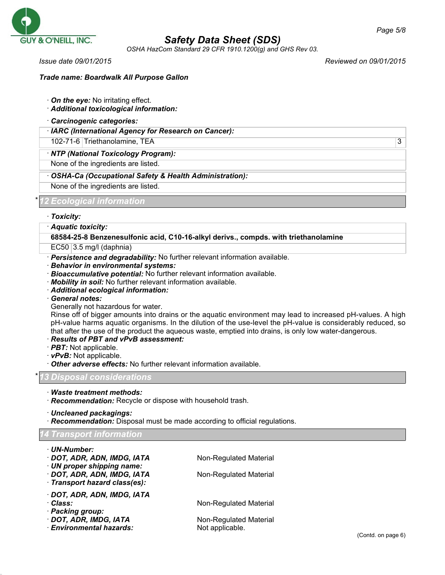

*OSHA HazCom Standard 29 CFR 1910.1200(g) and GHS Rev 03.*

*Issue date 09/01/2015 Reviewed on 09/01/2015*

## *Trade name: Boardwalk All Purpose Gallon*

- · *On the eye:* No irritating effect.
- · *Additional toxicological information:*
- · *Carcinogenic categories:*
- · *IARC (International Agency for Research on Cancer):*

102-71-6 Triethanolamine, TEA 3

· *NTP (National Toxicology Program):*

None of the ingredients are listed.

· *OSHA-Ca (Occupational Safety & Health Administration):*

None of the ingredients are listed.

\* *12 Ecological information*

· *Toxicity:*

## · *Aquatic toxicity:*

**68584-25-8 Benzenesulfonic acid, C10-16-alkyl derivs., compds. with triethanolamine**

 $EC50$  3.5 mg/l (daphnia)

· *Persistence and degradability:* No further relevant information available.

- · *Behavior in environmental systems:*
- · *Bioaccumulative potential:* No further relevant information available.
- · *Mobility in soil:* No further relevant information available.
- · *Additional ecological information:*
- · *General notes:*
- Generally not hazardous for water.

Rinse off of bigger amounts into drains or the aquatic environment may lead to increased pH-values. A high pH-value harms aquatic organisms. In the dilution of the use-level the pH-value is considerably reduced, so that after the use of the product the aqueous waste, emptied into drains, is only low water-dangerous.

- · *Results of PBT and vPvB assessment:*
- · *PBT:* Not applicable.
- · *vPvB:* Not applicable.
- · *Other adverse effects:* No further relevant information available.

\* *13 Disposal considerations*

· *Waste treatment methods:*

· *Recommendation:* Recycle or dispose with household trash.

· *Uncleaned packagings:*

· *Recommendation:* Disposal must be made according to official regulations.

#### *14 Transport information*

| · UN-Number:                                               |                        |  |
|------------------------------------------------------------|------------------------|--|
| · DOT, ADR, ADN, IMDG, IATA                                | Non-Regulated Material |  |
| UN proper shipping name:                                   |                        |  |
| · DOT, ADR, ADN, IMDG, IATA<br>Transport hazard class(es): | Non-Regulated Material |  |
|                                                            |                        |  |
| · DOT, ADR, ADN, IMDG, IATA                                |                        |  |
| · Class:                                                   | Non-Regulated Material |  |
| · Packing group:                                           |                        |  |
| · DOT, ADR, IMDG, IATA                                     | Non-Regulated Material |  |
| <b>Environmental hazards:</b>                              | Not applicable.        |  |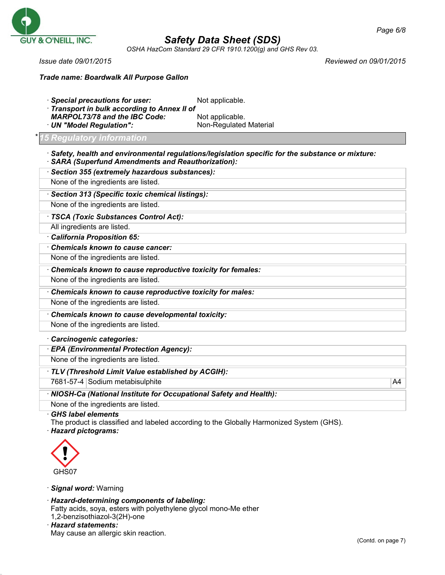

*OSHA HazCom Standard 29 CFR 1910.1200(g) and GHS Rev 03.*

*Issue date 09/01/2015 Reviewed on 09/01/2015*

*Trade name: Boardwalk All Purpose Gallon*

| <b>MARPOL73/78 and the IBC Code:</b><br>· UN "Model Regulation":    | Not applicable.<br>Non-Regulated Material                                                               |    |
|---------------------------------------------------------------------|---------------------------------------------------------------------------------------------------------|----|
| 15 Regulatory information                                           |                                                                                                         |    |
| <b>SARA (Superfund Amendments and Reauthorization):</b>             | $\cdot$ Safety, health and environmental regulations/legislation specific for the substance or mixture: |    |
| · Section 355 (extremely hazardous substances):                     |                                                                                                         |    |
| None of the ingredients are listed.                                 |                                                                                                         |    |
| · Section 313 (Specific toxic chemical listings):                   |                                                                                                         |    |
| None of the ingredients are listed.                                 |                                                                                                         |    |
| TSCA (Toxic Substances Control Act):                                |                                                                                                         |    |
| All ingredients are listed.                                         |                                                                                                         |    |
| California Proposition 65:                                          |                                                                                                         |    |
| Chemicals known to cause cancer:                                    |                                                                                                         |    |
| None of the ingredients are listed.                                 |                                                                                                         |    |
| Chemicals known to cause reproductive toxicity for females:         |                                                                                                         |    |
| None of the ingredients are listed.                                 |                                                                                                         |    |
| Chemicals known to cause reproductive toxicity for males:           |                                                                                                         |    |
| None of the ingredients are listed.                                 |                                                                                                         |    |
| Chemicals known to cause developmental toxicity:                    |                                                                                                         |    |
| None of the ingredients are listed.                                 |                                                                                                         |    |
| Carcinogenic categories:                                            |                                                                                                         |    |
| · EPA (Environmental Protection Agency):                            |                                                                                                         |    |
| None of the ingredients are listed.                                 |                                                                                                         |    |
| TLV (Threshold Limit Value established by ACGIH):                   |                                                                                                         |    |
| 7681-57-4 Sodium metabisulphite                                     |                                                                                                         | A4 |
| · NIOSH-Ca (National Institute for Occupational Safety and Health): |                                                                                                         |    |
| None of the ingredients are listed.                                 |                                                                                                         |    |



· *Signal word:* Warning

· *Hazard-determining components of labeling:* Fatty acids, soya, esters with polyethylene glycol mono-Me ether

1,2-benzisothiazol-3(2H)-one · *Hazard statements:*

May cause an allergic skin reaction.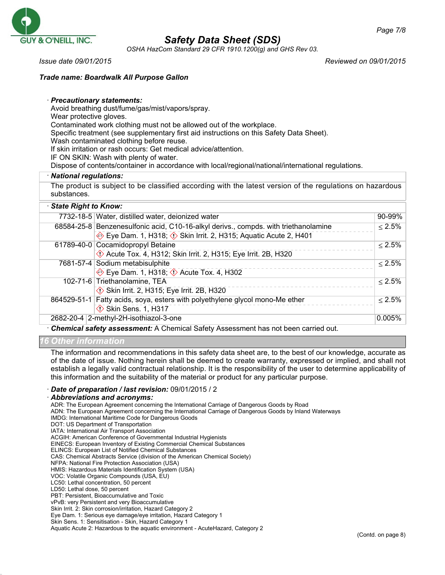

*OSHA HazCom Standard 29 CFR 1910.1200(g) and GHS Rev 03.*

*Issue date 09/01/2015 Reviewed on 09/01/2015*

## *Trade name: Boardwalk All Purpose Gallon*

#### · *Precautionary statements:*

Avoid breathing dust/fume/gas/mist/vapors/spray.

Wear protective gloves.

Contaminated work clothing must not be allowed out of the workplace.

Specific treatment (see supplementary first aid instructions on this Safety Data Sheet).

Wash contaminated clothing before reuse.

If skin irritation or rash occurs: Get medical advice/attention.

IF ON SKIN: Wash with plenty of water.

Dispose of contents/container in accordance with local/regional/national/international regulations.

#### · *National regulations:*

The product is subject to be classified according with the latest version of the regulations on hazardous substances.

#### · *State Right to Know:* 7732-18-5 Water, distilled water, deionized water 90-99% 68584-25-8 Benzenesulfonic acid, C10-16-alkyl derivs., compds. with triethanolamine ◆ Eye Dam. 1, H318; ◇ Skin Irrit. 2, H315; Aquatic Acute 2, H401 ≤ 2.5% 61789-40-0 Cocamidopropyl Betaine  $\Diamond$  Acute Tox. 4, H312; Skin Irrit. 2, H315; Eye Irrit. 2B, H320  $< 2.5\%$ 7681-57-4 Sodium metabisulphite  $\Leftrightarrow$  Eye Dam. 1, H318;  $\Leftrightarrow$  Acute Tox. 4, H302 ≤ 2.5% 102-71-6 Triethanolamine, TEA  $\Diamond$  Skin Irrit. 2, H315; Eye Irrit. 2B, H320  $< 2.5\%$ 864529-51-1 Fatty acids, soya, esters with polyethylene glycol mono-Me ether  $\circ$  Skin Sens. 1, H317 ≤ 2.5% 2682-20-4 2-methyl-2H-isothiazol-3-one 0.005%

· *Chemical safety assessment:* A Chemical Safety Assessment has not been carried out.

#### *16 Other information*

The information and recommendations in this safety data sheet are, to the best of our knowledge, accurate as of the date of issue. Nothing herein shall be deemed to create warranty, expressed or implied, and shall not establish a legally valid contractual relationship. It is the responsibility of the user to determine applicability of this information and the suitability of the material or product for any particular purpose.

#### · *Date of preparation / last revision:* 09/01/2015 / 2

#### · *Abbreviations and acronyms:*

ADR: The European Agreement concerning the International Carriage of Dangerous Goods by Road

ADN: The European Agreement concerning the International Carriage of Dangerous Goods by Inland Waterways

- IMDG: International Maritime Code for Dangerous Goods
- DOT: US Department of Transportation IATA: International Air Transport Association

ACGIH: American Conference of Governmental Industrial Hygienists

EINECS: European Inventory of Existing Commercial Chemical Substances

ELINCS: European List of Notified Chemical Substances

CAS: Chemical Abstracts Service (division of the American Chemical Society)

NFPA: National Fire Protection Association (USA)

HMIS: Hazardous Materials Identification System (USA)

VOC: Volatile Organic Compounds (USA, EU)

LC50: Lethal concentration, 50 percent

LD50: Lethal dose, 50 percent

PBT: Persistent, Bioaccumulative and Toxic

vPvB: very Persistent and very Bioaccumulative

Skin Irrit. 2: Skin corrosion/irritation, Hazard Category 2

Eye Dam. 1: Serious eye damage/eye irritation, Hazard Category 1

Skin Sens. 1: Sensitisation - Skin, Hazard Category 1

Aquatic Acute 2: Hazardous to the aquatic environment - AcuteHazard, Category 2